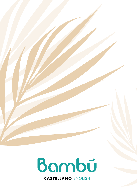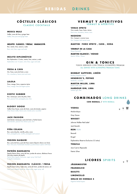## **BEBIDAS** DRINKS

## **C Ó C T E L E S C L Á S I C O S**

#### CLASSIC COCKTAILS

**MOSCU MULE** Vodka, zumo de lima y ginger beer Vodka, lime juice and ginger beer

#### **MOJITO CLÁSICO / FRESA/ MARACUYÁ**

Ron, menta, lima, azúcar y soda Rum, mint, lime, sugar and soda

**MOJITO DIPLOMÁTICO** Ron Diplomático 12 años, menta, lima, azúcar y soda Diplomático rum 12 years, mint, lime, sugar and soda

**FRESA & CAVA** Gin, fresa, zumo de limón y cava Gin, strawberry, lemon juice and cava

**LALOLA**  Pisco, mango, lima y especias tajine Pisco, mango, lime and tagine spices

**EXOTIC SUMMER** Ron, maracuyá, zumo de piña y lima Rum, passion fruit, pineapple juice, lime

**BLOODY GOOSE** Vodka Grey Goose, zumo de limón, zumo de tomate y pepino Grey Goose vodka, lemon juice, tomato juice, cucumb

**JACK PASSION** Jack Daniel, maracuyá, zumo de limón y hierba buena Jack Daniel's, passion fruit, lemon juice, mint

**PIÑA COLADA** Ron, zumo de piña, vainilla, piña y coco Rum, pineapple juice, vanilla, pineapple and coconut

**FROZEN DAIQUIRI** Ron, zumo de lima y puré de fresa casera (Opción clásico con lima) Rum, lime juice, homemade strawberry purée (Classic option with lime)

**PATRÓN MARGARITA** Tequila Patrón Silver, zumo de lima, jarabe de azúcar, albahaca fresca Una obra maestra de tequila Patrón Silver tequila, lime juice, sugar syrup, fresh basil A tequila masterpiece

#### **FROZEN MARGARITA CLÁSICO / FRESA**

Tequila José Cuervo, triple seco, zumo de limón, jarabe de azúcar, sal. José Cuervo tequila, triple sec, lemon juice, sugar syrup, salt

#### **VERMUT Y APERITIVOS** VERMUT & APÉRITIFS

**VENUS SPRITZ** Vino rosado, fresa, limón, tónica Rosé wine, strawberry, lemon, tonic

**NEGRONI** Gin, Campari y vermut rosso Gin, Campari and vermut rosso

**MART IN I F IERO SPR ITZ , CAVA , SODA**

**VERMUT DE LA CASA**  House Vermouth

**MARTINI BLANCO / ROSSO** Martini White / Rosso

## **GIN & TONICS**

TODOS SERVIDOS CON TÓNICA SCHWEPPES PREMIUM ALL SERVED WITH SCHWEPPES PREMIUM TONIC

**BOMBAY SAPPHIRE, LIMÓN** 

Bombay Sapphire, lemor **HENDRICK'S, PEPINO** Hendricks, cucumbe

**MARTIN MILLER, LIMA** Martin miller, lime

**HARBOUR GIN, LIMA** harbour gin, lime

## **COMBINADOS** LONG DRINKS

**CON REDBULL /** WITH REDBULL

#### **VODKA**

Moskovskaya

Grey Goose

#### **WHISKY**

Johnnie Walker Red Label

Jack Daniel's

#### **RON** RUM

Bacardi

Brugal

Diplomático Reserva Exclusiva (12 años)

#### **TEQUILA**

Jose Cuervo Reposado

Patrón Silver

## **LICORES** SPIRITS

**JÄGERME ISTER FRANGELICO BAILEYS LIMONCELLO ORUJO DE HIERBAS 5** Digestive herbal liqueur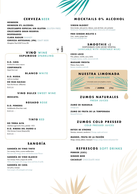

## **CERVEZA** BEER

**HE INEKEN HEINEKEN 0% ALCOHOL CRUZCAMPO ESPECIAL SIN GLUTEN** (GLUTEN-FREE) **CRUZCAMPO GRAN RESERVA DESPERADOS CLARA RADLER** SHANDY

**CERVEZA ARTESANAL (IPA)** CRAFT BEER Almogàver Hop & Roll Vicious IPA

## **VINO** WINE **ESPUMOSO** SPARKLING

**D .O . CAVA**  Anahita Brut nature reserve

**CORPINNAT8** Llopart brut rosé

#### **BLANCO** WHITE

**D.O. RUEDA** Ladivina (verdejo) **DO RIAS BAIXAS** Pazo Das Bruixas (Albariño)

**BA ILA** 

#### **VINO DULCE** SWEET WINE

**MOSCATEL**

#### **ROSADO** ROSE

**D .O . PENEDES**  Nuit&Mambo (Pinot Noir rosé) **BAILA -**

## **TINTO** RED

**DO TERRA ALTA** Labárbara (garnacha tinta y peluda) - ECO

**D .O . R IBERA DEL DUERO 6**  Viña Gormaz Crianza (Tempranillo) **BAILA -**

## **SANGRÍA**

#### **SANGRÍA DE VINO TINTO**

Con naranja, limón y aroma mediterráneo Red wine with orange, lemon and Mediterranean flavour

## **SANGRÍA DE VINO BLANCO**

Con naranja, limón y toques de vainilla White wine sangria with orange, lemon and hints of vanilla

**SANGRÍA DE CAVA** Con piña y naranja Cava sangria with pineapple and orange

## **MOCKTAILS 0% ALCOHOL**

**VIRGIN BLOODY** 

Zumo tomate, salsa perrins, tabasco, zumo de limón, sal y pimienta Tomato juice, Worcestershire sauce, tabasco, lemon juice, salt and pepper

**FREE GINGER MOJITO 5** Lima, menta y ginger beer

Lime, mint and ginger bee

 $\overline{\mathbf{P}}$ 

## **SMOOTHIE :)**

DISPONIBLES CON LECHE VEGETAL (AVAILABLE WITH VEGETABLE MILK)

**COCO LOCO** Piña, plátano, vainilla, coco y leche Pineapple, banana, vanilla, coconut and milk

**MADAME FRESITA** Plátano, fresa y leche Banana, strawberry and milk

## **NUESTRA LIMONADA** OUR LEMONADE

Limonada casera con jengibre y menta Homemade lemonade with ginger and min

COPA CUP / **JARRA** JAR **(1L )** 

## **Z U M O S N A T U R A L E S**  FRESH JUICES

**ZUMO DE NARANJA** Orange juice

**ZUMO DE FRUTA DE LA TEMPORADA**  Seasonal fruit juice

## **ZUMOS COLD PRESSED** COLD PRESSED JUICES

**DETOX BE STRONG**  Naranja, manzana, zanahoria / Orange, apple and carrot

**MANGO , FRUTA DE LA PAS IÓN**  Mango, naranja, plátano, maracuyá / Mango, orange, banana and passion fruit

## **REFRESCOS** SOFT DRINKS

**PERRIER (33CL) GINGER BEER CACAOLAT** CHOCOLATE MILK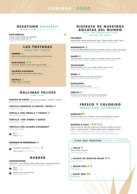## **COMIDAS** FOOD

Ŵ

## **DESAYUNO** BREAKFAST

DE 9:00H A 12:00H / 9:00 A.M. TO NOON

#### **CONTINENTAL**

2 huevos al gusto, tostadas con mantequilla, zumo de naranja natural, café / Té 2 eggs as you like, toast with butter, fresh orange juice, coffee / Tea

#### **LAS TOSTADAS** HEALTHY TOAST

**HUMMUS** Hummus de remolacha, feta, olivas Kalamata y aceite de menta Beetroot hummus, feta, Kalamata olives and mint oil

#### **GUACAMOLE**  Guacamole, espinacas, cherry, olivas y granola salada acamole, spinach, cherry tomatoes, olives and salty aranola

## **SALMÓN AHUMADO**

Salmón ahumado, queso crema, rúcula y sésamo Smoked salmon, cream cheese, rocket and sesame

**NUTELLA** Nutella, plátano y cacahuetes Nutella, banana and peanuts

#### **GALLINAS FELICES** HAPPY HENS

**HUEVOS DE PAYÉS** acompañadas de tostadas / 9:00 AM - 12:00 PM FREE-RANGE EGGS with toast / 9:00 a.m. to noon

#### **TORTILLA FRANCESA O HUEVOS FRITOS**  Omelette or fried eggs

**TORTILLA CON CEBOLLA Y TOMATE**  Onion and tomato omelette

#### **TORTILLA CON JAMÓN Y QUESO**

Ham and cheese omelette

#### **TORTILLA CON SALMÓN AHUMADO**

Smoked salmon omelett



#### **CROISSANT DE MANTEQUILLA**

Butter croissant

Mantequilla y mermelada / Butter and jam Jamón y queso / Ham and cheese



#### **CHEESEBURGER**

100% ternera , queso, lechuga, tomate, cebolla morada y mayonesa de pepinillo 100% beef , cheese, lettuce, tomato, red onion and gherkin mayonnaise

 Bacon Queso / Cheese

 Añade tu ración de patatas fritas Add a portion of fries

#### **DISFRUTA DE NUESTROS BOCATAS DEL MUNDO** ENJOY OUR SANDWICHES FROM

AROUND THE WORLD

#### **ESTAMBUL**

Kebab de pollo, salsa de tomate picante, yogur, lechuga, cebolla morada y cilantro Chicken Kebab, spicy tomato sauce, yogurt, lettuce, red onion and coriand

#### **MARRAKECH**

Pan de cristal relleno de falafel, espinacas, col lombarda, zanahoria, menta y salsa de yogur Glass bread with falafel, spinach, red cabbage and carrot, mint and yogurt sauce

#### **HANÓI**

Cerdo desmechado, zanahoria, pepino, col lombarda, cilantro y mayo sriracha Pulled pork, carrot, cucumber, red cabbage, coriander and sriracha mayo

#### **ESTOCOLMO**

Salmón ahumado, queso crema al eneldo, cebolla morada y rúcula Smoked salmon, dill cream cheese, red onion and rocket

#### **ROMA**

Mozzarella de búfala, tomate y pesto de albahaca Buffalo mozzarella with tomato and basil pesto

#### **BARCELONA**

Trikini trufado con jamón y queso Three-layer truffled ham and cheese sandwich

#### **IBÉRICO**

Pan de coca con tomate y nuestro mejor jamón de bellota. Crunchy bread with tomato and our best acorn-fed ham.

## **FRESCO Y COLORIDO** FRESH AND COLOURFUL

## **BURRATA**

Burrata con tomates cherry confitados, rúcula, aceite de albahaca y pistachos Burrata with confit cherry tomatoes, rocket, basil oil and pistachio nuts

## QUINOA & KALE \* **8 3 4 %**

Quinoa, zanahoria, coles, kale, tomate cherry, edamame, cebolla roja, granola salada y vinagreta de menta *\* También puedes pedir tu ensalada sin quinoa* Quinoa, carrots, cabbage, kale, cherry tomatoes, edamame, red onion, salty granola, mint vinaigrette *\*You can request your salad without quinoa*

#### **ELIGE UNA PROTEÍNA** CHOOSE A PROTEIN

**+ POLLO**  Pollo marinado en especias Chicken marinated in spices

#### **+ FALAFEL DE LENTEJAS ROJAS**  Red lentil falafel

**+ QUESO FETA Feta cheese**

**+ ROAST BEEF Roast Beef**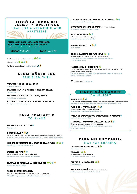

**PATATAS CHIPS GRUESAS, SALSA ESPINALER, MEJILLONES EN ESCABECHE Y ACEITUNAS** Potatoes crisps, espinaler sauce, pickled mussels and olives

 **+VERMUT** VERMOUTH **+CAÑA** HALF PINT

Patatas chips gruesas / Chunky crisps<sup>3</sup>

Olivas / *Olives* 

Mejillones en escabeche / *Pickled mussels* 

## **ACOMPÁÑALO CON** PAIR THEM WITH

#### **VERMUT NEGRO DE LA CASA**

House black vermouth

**MARTINI BLANCO WHITE / NEGRO BLACK** Martini white/black

**MARTINI FIERO SPRITZ, CAVA, SODA** Martini fiero spritz, cava, soda

**ROSSINI, CAVA, PURÉ DE FRESA NATURAL6** Rossini, cava, natural strawberry puree

## **PARA COMPARTIR** TO SHARE

#### **GAMBAS AL AJILLO**

Garlic prawns

**ESQUEIXADA** de bacalao, escarola, cherry confitado, olivas Kalamata, cebolla asada encurtida y albahaca Esqueixada of cod, escarole, confit cherry, Kalamata olives, pickled roasted onion and basil

**GYOZAS DE VERDURAS CON SALSA DE SOJA Y MISO Vegetable gyozas with soy and miso sauce** 

**MEJILLONES THAI** X Mejillones thai salsa de coco, citronella y lima kaffir Thai mussels, coconut sauce, citronella and kaffir lime

**HUMMUS DE REMOLACHA CON CRUDITÉS <sup>1</sup>** Beetroot hummus with crudités

**TACOS DE COCHINITA PIBIL** Tacos de cochinita pibil, guacamole, pico de gallo, cilantro y crema agria Pibil pork tacos, guacamole, pico de gallo, coriander and sour cream

**TORTILLA DE PATATA CON HUEVOS DE CORRAL**  Spanish omelette with free-range eggs

**CROQUETAS CASERAS DE JAMÓN** ( Mínimo 4 unidades ) Homemade ham croquettes (minimum 4 pieces)

**PATATAS BRAVAS • X** 

Patatas bravas con alioli y salsa picante Patatas bravas with spicy sauce and alioli

**JAMÓN DE BELLOTA** Acorn-fed ham

**COCA CRUJIENTE DEL MARESME**  con tomate y AOVE o con alioli. 4 (Opción pan sin gluten )

Crunchy bread from Maresme with tomato and extra virgin olive oil or aioli (Gluten-free bread option)

#### **NACHOS DEL CHIRINGUITO**

totopos fritos caseros, queso cheddar, guacamole, pico de gallo, cebolla encurtida, cilantro, crema agria y jalapeños Our nachos: homemade fried tortilla chips, cheddar cheese, guacamole, pico de gallo, cilantro, sour cream and jalapenos

**Cochinita pibil / Cochinita pibil** 



**ROAST BEEF**  Carne braseada a baja temperatura, fileteada fina, ensalada verde y salsa tártara de pepinillos Low-temperature braised meat, thinly sliced, with green salad and pickle tartar sauce

**PULPO CON PATATAS BABY**  $\overrightarrow{Z}$ Pulpo con patatas baby y pimentón de la Vera Octopus with new potatoes and paprika from la Vera

**PAELLA DE CALAMARCITOS, LANGOSTINOS Y ALMEJAS** Paella with squid, prawns and clams

**½ POLLO AL HORNO CON ENSALADA FRESCA** de verano, rucula, cherrys, zanahoria y col lombarda 1/2 roasted chicken with fresh summer salad, rocket, cherry tomatoes, carrot and red cabbage

## **PARA NO COMPARTIR** NOT FOR SHARING

**CHEESECAKE DE MARACUYÁ**  Passion fruit cheesecake

**BROWNIE** de chocolate con helado de vainilla Chocolate brownie with vanilla ice cream

**TRUFAS DE CHOCOLATE**  Chocolate truffles

**HELADOS NESTLÉ** (Pide la carta a tu camarero) Nestlé ice cream ( ask your waiter for the menu )